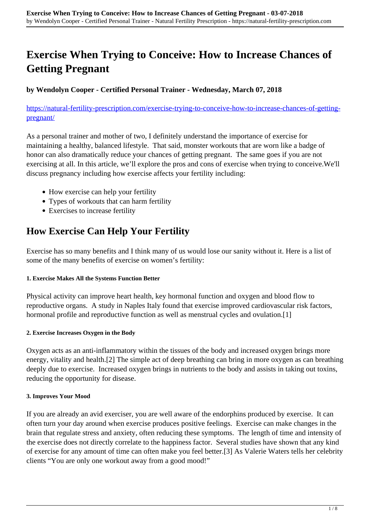# **Exercise When Trying to Conceive: How to Increase Chances of Getting Pregnant**

**by Wendolyn Cooper - Certified Personal Trainer - Wednesday, March 07, 2018**

[https://natural-fertility-prescription.com/exercise-trying-to-conceive-how-to-increase-chances-of-getting](https://natural-fertility-prescription.com/exercise-trying-to-conceive-how-to-increase-chances-of-getting-pregnant/)[pregnant/](https://natural-fertility-prescription.com/exercise-trying-to-conceive-how-to-increase-chances-of-getting-pregnant/)

As a personal trainer and mother of two, I definitely understand the importance of exercise for maintaining a healthy, balanced lifestyle. That said, monster workouts that are worn like a badge of honor can also dramatically reduce your chances of getting pregnant. The same goes if you are not exercising at all. In this article, we'll explore the pros and cons of exercise when trying to conceive.We'll discuss pregnancy including how exercise affects your fertility including:

- How exercise can help your fertility
- Types of workouts that can harm fertility
- Exercises to increase fertility

# **How Exercise Can Help Your Fertility**

Exercise has so many benefits and I think many of us would lose our sanity without it. Here is a list of some of the many benefits of exercise on women's fertility:

#### **1. Exercise Makes All the Systems Function Better**

Physical activity can improve heart health, key hormonal function and oxygen and blood flow to reproductive organs. A study in Naples Italy found that exercise improved cardiovascular risk factors, hormonal profile and reproductive function as well as menstrual cycles and ovulation.[1]

### **2. Exercise Increases Oxygen in the Body**

Oxygen acts as an anti-inflammatory within the tissues of the body and increased oxygen brings more energy, vitality and health.[2] The simple act of deep breathing can bring in more oxygen as can breathing deeply due to exercise. Increased oxygen brings in nutrients to the body and assists in taking out toxins, reducing the opportunity for disease.

#### **3. Improves Your Mood**

If you are already an avid exerciser, you are well aware of the endorphins produced by exercise. It can often turn your day around when exercise produces positive feelings. Exercise can make changes in the brain that regulate stress and anxiety, often reducing these symptoms. The length of time and intensity of the exercise does not directly correlate to the happiness factor. Several studies have shown that any kind of exercise for any amount of time can often make you feel better.[3] As Valerie Waters tells her celebrity clients "You are only one workout away from a good mood!"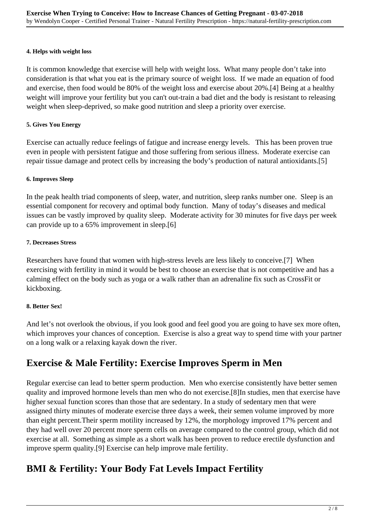#### **4. Helps with weight loss**

It is common knowledge that exercise will help with weight loss. What many people don't take into consideration is that what you eat is the primary source of weight loss. If we made an equation of food and exercise, then food would be 80% of the weight loss and exercise about 20%.[4] Being at a healthy weight will improve your fertility but you can't out-train a bad diet and the body is resistant to releasing weight when sleep-deprived, so make good nutrition and sleep a priority over exercise.

### **5. Gives You Energy**

Exercise can actually reduce feelings of fatigue and increase energy levels. This has been proven true even in people with persistent fatigue and those suffering from serious illness. Moderate exercise can repair tissue damage and protect cells by increasing the body's production of natural antioxidants.[5]

#### **6. Improves Sleep**

In the peak health triad components of sleep, water, and nutrition, sleep ranks number one. Sleep is an essential component for recovery and optimal body function. Many of today's diseases and medical issues can be vastly improved by quality sleep. Moderate activity for 30 minutes for five days per week can provide up to a 65% improvement in sleep.[6]

#### **7. Decreases Stress**

Researchers have found that women with high-stress levels are less likely to conceive.[7] When exercising with fertility in mind it would be best to choose an exercise that is not competitive and has a calming effect on the body such as yoga or a walk rather than an adrenaline fix such as CrossFit or kickboxing.

### **8. Better Sex!**

And let's not overlook the obvious, if you look good and feel good you are going to have sex more often, which improves your chances of conception. Exercise is also a great way to spend time with your partner on a long walk or a relaxing kayak down the river.

# **Exercise & Male Fertility: Exercise Improves Sperm in Men**

Regular exercise can lead to better sperm production. Men who exercise consistently have better semen quality and improved hormone levels than men who do not exercise.[8]In studies, men that exercise have higher sexual function scores than those that are sedentary. In a study of sedentary men that were assigned thirty minutes of moderate exercise three days a week, their semen volume improved by more than eight percent.Their sperm motility increased by 12%, the morphology improved 17% percent and they had well over 20 percent more sperm cells on average compared to the control group, which did not exercise at all. Something as simple as a short walk has been proven to reduce erectile dysfunction and improve sperm quality.[9] Exercise can help improve male fertility.

# **BMI & Fertility: Your Body Fat Levels Impact Fertility**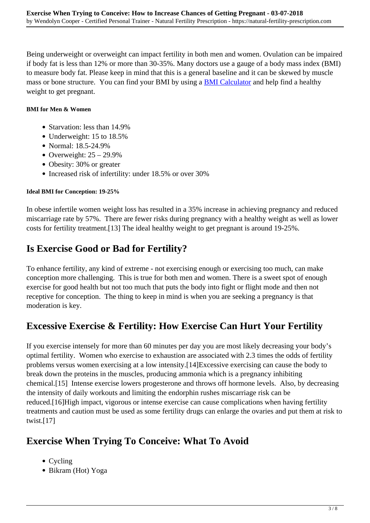Being underweight or overweight can impact fertility in both men and women. Ovulation can be impaired if body fat is less than 12% or more than 30-35%. Many doctors use a gauge of a body mass index (BMI) to measure body fat. Please keep in mind that this is a general baseline and it can be skewed by muscle mass or bone structure. You can find your BMI by using a **BMI Calculator** and help find a healthy weight to get pregnant.

### **BMI for Men & Women**

- Starvation: less than 14.9%
- Underweight: 15 to 18.5%
- Normal: 18.5-24.9%
- Overweight:  $25 29.9\%$
- Obesity: 30% or greater
- Increased risk of infertility: under 18.5% or over 30%

### **Ideal BMI for Conception: 19-25%**

In obese infertile women weight loss has resulted in a 35% increase in achieving pregnancy and reduced miscarriage rate by 57%. There are fewer risks during pregnancy with a healthy weight as well as lower costs for fertility treatment.[13] The ideal healthy weight to get pregnant is around 19-25%.

# **Is Exercise Good or Bad for Fertility?**

To enhance fertility, any kind of extreme - not exercising enough or exercising too much, can make conception more challenging. This is true for both men and women. There is a sweet spot of enough exercise for good health but not too much that puts the body into fight or flight mode and then not receptive for conception. The thing to keep in mind is when you are seeking a pregnancy is that moderation is key.

# **Excessive Exercise & Fertility: How Exercise Can Hurt Your Fertility**

If you exercise intensely for more than 60 minutes per day you are most likely decreasing your body's optimal fertility. Women who exercise to exhaustion are associated with 2.3 times the odds of fertility problems versus women exercising at a low intensity.[14]Excessive exercising can cause the body to break down the proteins in the muscles, producing ammonia which is a pregnancy inhibiting chemical.[15] Intense exercise lowers progesterone and throws off hormone levels. Also, by decreasing the intensity of daily workouts and limiting the endorphin rushes miscarriage risk can be reduced.[16]High impact, vigorous or intense exercise can cause complications when having fertility treatments and caution must be used as some fertility drugs can enlarge the ovaries and put them at risk to twist.[17]

# **Exercise When Trying To Conceive: What To Avoid**

- Cycling
- Bikram (Hot) Yoga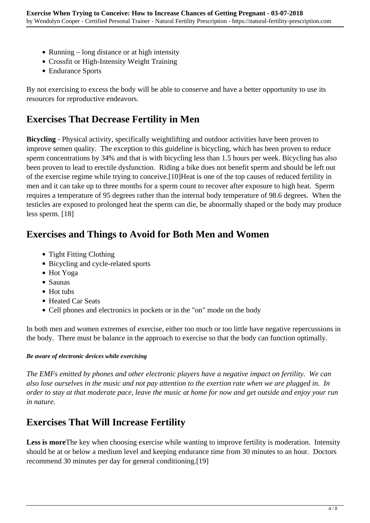- Running  $-$  long distance or at high intensity
- Crossfit or High-Intensity Weight Training
- Endurance Sports

By not exercising to excess the body will be able to conserve and have a better opportunity to use its resources for reproductive endeavors.

# **Exercises That Decrease Fertility in Men**

**Bicycling** - Physical activity, specifically weightlifting and outdoor activities have been proven to improve semen quality. The exception to this guideline is bicycling, which has been proven to reduce sperm concentrations by 34% and that is with bicycling less than 1.5 hours per week. Bicycling has also been proven to lead to erectile dysfunction. Riding a bike does not benefit sperm and should be left out of the exercise regime while trying to conceive.[10]Heat is one of the top causes of reduced fertility in men and it can take up to three months for a sperm count to recover after exposure to high heat. Sperm requires a temperature of 95 degrees rather than the internal body temperature of 98.6 degrees. When the testicles are exposed to prolonged heat the sperm can die, be abnormally shaped or the body may produce less sperm. [18]

# **Exercises and Things to Avoid for Both Men and Women**

- Tight Fitting Clothing
- Bicycling and cycle-related sports
- Hot Yoga
- Saunas
- Hot tubs
- Heated Car Seats
- Cell phones and electronics in pockets or in the "on" mode on the body

In both men and women extremes of exercise, either too much or too little have negative repercussions in the body. There must be balance in the approach to exercise so that the body can function optimally.

### *Be aware of electronic devices while exercising*

*The EMFs emitted by phones and other electronic players have a negative impact on fertility. We can also lose ourselves in the music and not pay attention to the exertion rate when we are plugged in. In order to stay at that moderate pace, leave the music at home for now and get outside and enjoy your run in nature.*

# **Exercises That Will Increase Fertility**

**Less is more**The key when choosing exercise while wanting to improve fertility is moderation. Intensity should be at or below a medium level and keeping endurance time from 30 minutes to an hour. Doctors recommend 30 minutes per day for general conditioning.[19]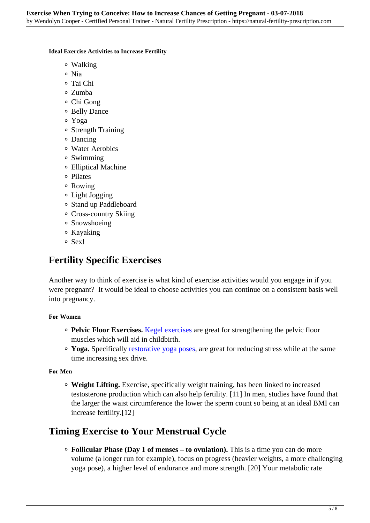#### **Ideal Exercise Activities to Increase Fertility**

- Walking
- Nia
- Tai Chi
- Zumba
- Chi Gong
- Belly Dance
- Yoga
- Strength Training
- Dancing
- Water Aerobics
- Swimming
- Elliptical Machine
- Pilates
- Rowing
- Light Jogging
- Stand up Paddleboard
- Cross-country Skiing
- Snowshoeing
- Kayaking
- o Sex!

# **Fertility Specific Exercises**

Another way to think of exercise is what kind of exercise activities would you engage in if you were pregnant? It would be ideal to choose activities you can continue on a consistent basis well into pregnancy.

### **For Women**

- **Pelvic Floor Exercises.** Kegel exercises are great for strengthening the pelvic floor muscles which will aid in childbirth.
- Yoga. Specifically **restorative yoga poses**, are great for reducing stress while at the same time increasing sex drive.

### **For Men**

**Weight Lifting.** Exercise, specifically weight training, has been linked to increased testosterone production which can also help fertility. [11] In men, studies have found that the larger the waist circumference the lower the sperm count so being at an ideal BMI can increase fertility.[12]

# **Timing Exercise to Your Menstrual Cycle**

**Follicular Phase (Day 1 of menses – to ovulation).** This is a time you can do more volume (a longer run for example), focus on progress (heavier weights, a more challenging yoga pose), a higher level of endurance and more strength. [20] Your metabolic rate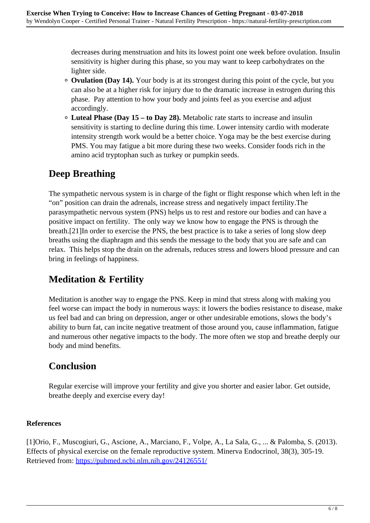decreases during menstruation and hits its lowest point one week before ovulation. Insulin sensitivity is higher during this phase, so you may want to keep carbohydrates on the lighter side.

- **Ovulation (Day 14).** Your body is at its strongest during this point of the cycle, but you can also be at a higher risk for injury due to the dramatic increase in estrogen during this phase. Pay attention to how your body and joints feel as you exercise and adjust accordingly.
- **Luteal Phase (Day 15 to Day 28).** Metabolic rate starts to increase and insulin sensitivity is starting to decline during this time. Lower intensity cardio with moderate intensity strength work would be a better choice. Yoga may be the best exercise during PMS. You may fatigue a bit more during these two weeks. Consider foods rich in the amino acid tryptophan such as turkey or pumpkin seeds.

# **Deep Breathing**

The sympathetic nervous system is in charge of the fight or flight response which when left in the "on" position can drain the adrenals, increase stress and negatively impact fertility.The parasympathetic nervous system (PNS) helps us to rest and restore our bodies and can have a positive impact on fertility. The only way we know how to engage the PNS is through the breath.[21]In order to exercise the PNS, the best practice is to take a series of long slow deep breaths using the diaphragm and this sends the message to the body that you are safe and can relax. This helps stop the drain on the adrenals, reduces stress and lowers blood pressure and can bring in feelings of happiness.

# **Meditation & Fertility**

Meditation is another way to engage the PNS. Keep in mind that stress along with making you feel worse can impact the body in numerous ways: it lowers the bodies resistance to disease, make us feel bad and can bring on depression, anger or other undesirable emotions, slows the body's ability to burn fat, can incite negative treatment of those around you, cause inflammation, fatigue and numerous other negative impacts to the body. The more often we stop and breathe deeply our body and mind benefits.

# **Conclusion**

Regular exercise will improve your fertility and give you shorter and easier labor. Get outside, breathe deeply and exercise every day!

### **References**

[1]Orio, F., Muscogiuri, G., Ascione, A., Marciano, F., Volpe, A., La Sala, G., ... & Palomba, S. (2013). Effects of physical exercise on the female reproductive system. Minerva Endocrinol, 38(3), 305-19. Retrieved from: https://pubmed.ncbi.nlm.nih.gov/24126551/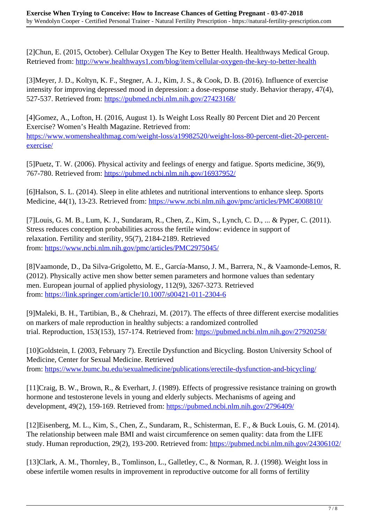[2]Chun, E. (2015, October). Cellular Oxygen The Key to Better Health. Healthways Medical Group. Retrieved from: http://www.healthways1.com/blog/item/cellular-oxygen-the-key-to-better-health

[3]Meyer, J. D., Koltyn, K. F., Stegner, A. J., Kim, J. S., & Cook, D. B. (2016). Influence of exercise intensity for improving depressed mood in depression: a dose-response study. Behavior therapy, 47(4), 527-537. Retrieved from: https://pubmed.ncbi.nlm.nih.gov/27423168/

[4]Gomez, A., Lofton, H. (2016, August 1). Is Weight Loss Really 80 Percent Diet and 20 Percent Exercise? Women's Health Magazine. Retrieved from: https://www.womenshealthmag.com/weight-loss/a19982520/weight-loss-80-percent-diet-20-percentexercise/

[5]Puetz, T. W. (2006). Physical activity and feelings of energy and fatigue. Sports medicine, 36(9), 767-780. Retrieved from: https://pubmed.ncbi.nlm.nih.gov/16937952/

[6]Halson, S. L. (2014). Sleep in elite athletes and nutritional interventions to enhance sleep. Sports Medicine, 44(1), 13-23. Retrieved from: https://www.ncbi.nlm.nih.gov/pmc/articles/PMC4008810/

[7]Louis, G. M. B., Lum, K. J., Sundaram, R., Chen, Z., Kim, S., Lynch, C. D., ... & Pyper, C. (2011). Stress reduces conception probabilities across the fertile window: evidence in support of relaxation. Fertility and sterility, 95(7), 2184-2189. Retrieved from: https://www.ncbi.nlm.nih.gov/pmc/articles/PMC2975045/

[8]Vaamonde, D., Da Silva-Grigoletto, M. E., García-Manso, J. M., Barrera, N., & Vaamonde-Lemos, R. (2012). Physically active men show better semen parameters and hormone values than sedentary men. European journal of applied physiology, 112(9), 3267-3273. Retrieved from: https://link.springer.com/article/10.1007/s00421-011-2304-6

[9]Maleki, B. H., Tartibian, B., & Chehrazi, M. (2017). The effects of three different exercise modalities on markers of male reproduction in healthy subjects: a randomized controlled trial. Reproduction, 153(153), 157-174. Retrieved from: https://pubmed.ncbi.nlm.nih.gov/27920258/

[10]Goldstein, I. (2003, February 7). Erectile Dysfunction and Bicycling. Boston University School of Medicine, Center for Sexual Medicine. Retrieved from: https://www.bumc.bu.edu/sexualmedicine/publications/erectile-dysfunction-and-bicycling/

[11]Craig, B. W., Brown, R., & Everhart, J. (1989). Effects of progressive resistance training on growth hormone and testosterone levels in young and elderly subjects. Mechanisms of ageing and development, 49(2), 159-169. Retrieved from: https://pubmed.ncbi.nlm.nih.gov/2796409/

[12]Eisenberg, M. L., Kim, S., Chen, Z., Sundaram, R., Schisterman, E. F., & Buck Louis, G. M. (2014). The relationship between male BMI and waist circumference on semen quality: data from the LIFE study. Human reproduction, 29(2), 193-200. Retrieved from: https://pubmed.ncbi.nlm.nih.gov/24306102/

[13]Clark, A. M., Thornley, B., Tomlinson, L., Galletley, C., & Norman, R. J. (1998). Weight loss in obese infertile women results in improvement in reproductive outcome for all forms of fertility